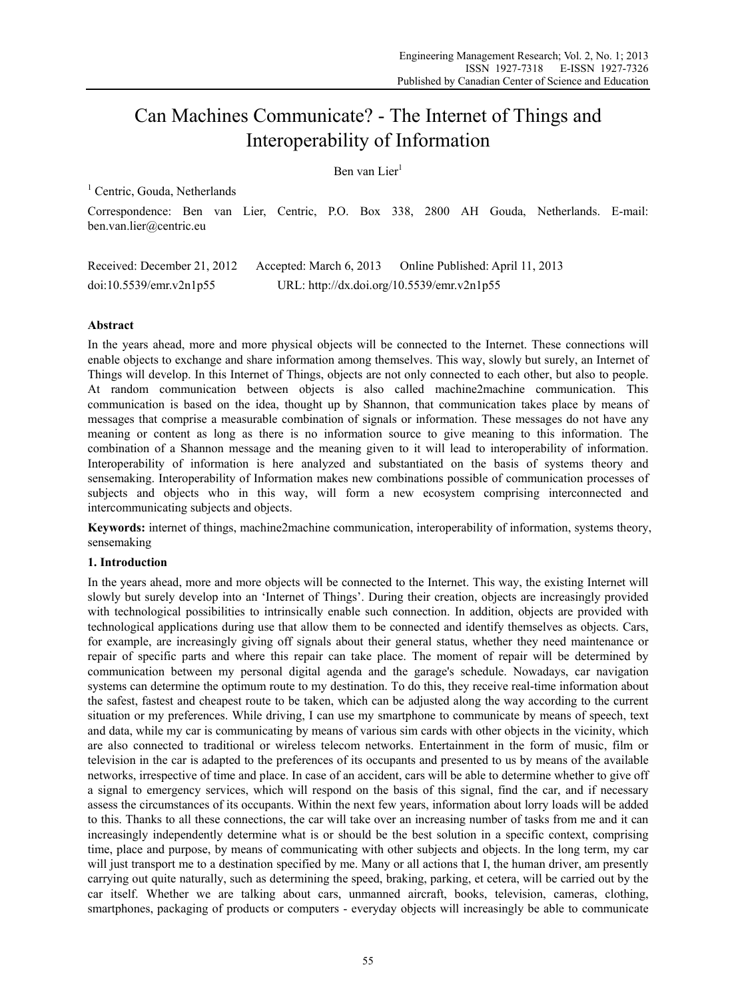# Can Machines Communicate? - The Internet of Things and Interoperability of Information

Ben van Lier<sup>1</sup>

<sup>1</sup> Centric, Gouda, Netherlands

Correspondence: Ben van Lier, Centric, P.O. Box 338, 2800 AH Gouda, Netherlands. E-mail: ben.van.lier@centric.eu

Received: December 21, 2012 Accepted: March 6, 2013 Online Published: April 11, 2013 doi:10.5539/emr.v2n1p55 URL: http://dx.doi.org/10.5539/emr.v2n1p55

# **Abstract**

In the years ahead, more and more physical objects will be connected to the Internet. These connections will enable objects to exchange and share information among themselves. This way, slowly but surely, an Internet of Things will develop. In this Internet of Things, objects are not only connected to each other, but also to people. At random communication between objects is also called machine2machine communication. This communication is based on the idea, thought up by Shannon, that communication takes place by means of messages that comprise a measurable combination of signals or information. These messages do not have any meaning or content as long as there is no information source to give meaning to this information. The combination of a Shannon message and the meaning given to it will lead to interoperability of information. Interoperability of information is here analyzed and substantiated on the basis of systems theory and sensemaking. Interoperability of Information makes new combinations possible of communication processes of subjects and objects who in this way, will form a new ecosystem comprising interconnected and intercommunicating subjects and objects.

**Keywords:** internet of things, machine2machine communication, interoperability of information, systems theory, sensemaking

# **1. Introduction**

In the years ahead, more and more objects will be connected to the Internet. This way, the existing Internet will slowly but surely develop into an 'Internet of Things'. During their creation, objects are increasingly provided with technological possibilities to intrinsically enable such connection. In addition, objects are provided with technological applications during use that allow them to be connected and identify themselves as objects. Cars, for example, are increasingly giving off signals about their general status, whether they need maintenance or repair of specific parts and where this repair can take place. The moment of repair will be determined by communication between my personal digital agenda and the garage's schedule. Nowadays, car navigation systems can determine the optimum route to my destination. To do this, they receive real-time information about the safest, fastest and cheapest route to be taken, which can be adjusted along the way according to the current situation or my preferences. While driving, I can use my smartphone to communicate by means of speech, text and data, while my car is communicating by means of various sim cards with other objects in the vicinity, which are also connected to traditional or wireless telecom networks. Entertainment in the form of music, film or television in the car is adapted to the preferences of its occupants and presented to us by means of the available networks, irrespective of time and place. In case of an accident, cars will be able to determine whether to give off a signal to emergency services, which will respond on the basis of this signal, find the car, and if necessary assess the circumstances of its occupants. Within the next few years, information about lorry loads will be added to this. Thanks to all these connections, the car will take over an increasing number of tasks from me and it can increasingly independently determine what is or should be the best solution in a specific context, comprising time, place and purpose, by means of communicating with other subjects and objects. In the long term, my car will just transport me to a destination specified by me. Many or all actions that I, the human driver, am presently carrying out quite naturally, such as determining the speed, braking, parking, et cetera, will be carried out by the car itself. Whether we are talking about cars, unmanned aircraft, books, television, cameras, clothing, smartphones, packaging of products or computers - everyday objects will increasingly be able to communicate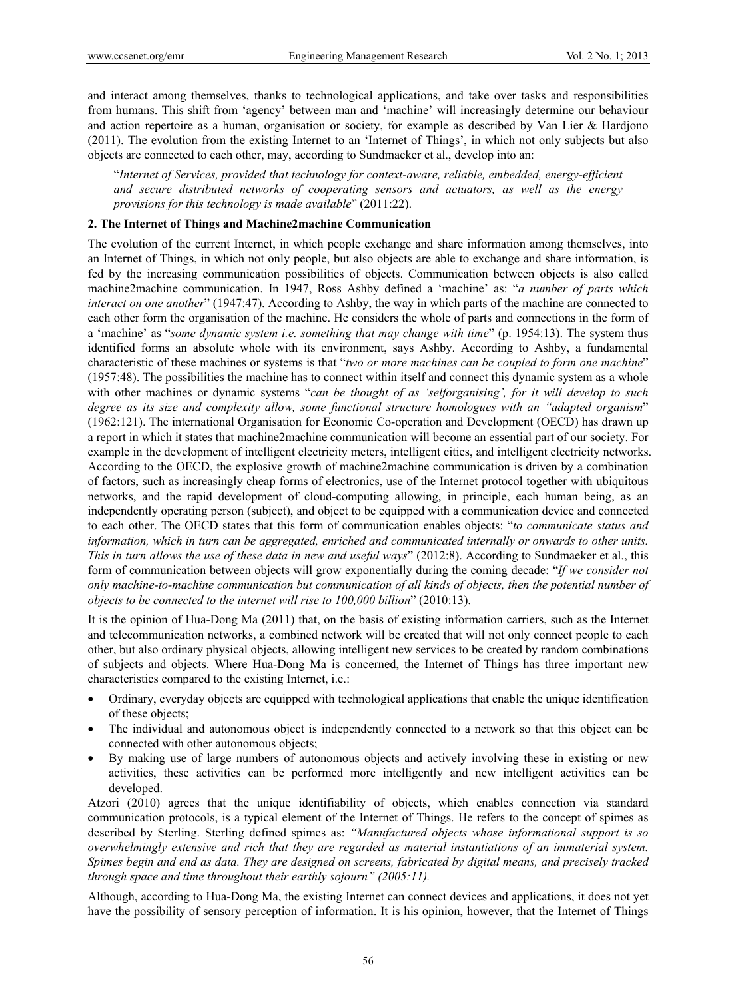and interact among themselves, thanks to technological applications, and take over tasks and responsibilities from humans. This shift from 'agency' between man and 'machine' will increasingly determine our behaviour and action repertoire as a human, organisation or society, for example as described by Van Lier & Hardjono (2011). The evolution from the existing Internet to an 'Internet of Things', in which not only subjects but also objects are connected to each other, may, according to Sundmaeker et al., develop into an:

"*Internet of Services, provided that technology for context-aware, reliable, embedded, energy-efficient and secure distributed networks of cooperating sensors and actuators, as well as the energy provisions for this technology is made available*" (2011:22).

#### **2. The Internet of Things and Machine2machine Communication**

The evolution of the current Internet, in which people exchange and share information among themselves, into an Internet of Things, in which not only people, but also objects are able to exchange and share information, is fed by the increasing communication possibilities of objects. Communication between objects is also called machine2machine communication. In 1947, Ross Ashby defined a 'machine' as: "*a number of parts which interact on one another*" (1947:47). According to Ashby, the way in which parts of the machine are connected to each other form the organisation of the machine. He considers the whole of parts and connections in the form of a 'machine' as "*some dynamic system i.e. something that may change with time*" (p. 1954:13). The system thus identified forms an absolute whole with its environment, says Ashby. According to Ashby, a fundamental characteristic of these machines or systems is that "*two or more machines can be coupled to form one machine*" (1957:48). The possibilities the machine has to connect within itself and connect this dynamic system as a whole with other machines or dynamic systems "*can be thought of as 'selforganising', for it will develop to such degree as its size and complexity allow, some functional structure homologues with an "adapted organism*" (1962:121). The international Organisation for Economic Co-operation and Development (OECD) has drawn up a report in which it states that machine2machine communication will become an essential part of our society. For example in the development of intelligent electricity meters, intelligent cities, and intelligent electricity networks. According to the OECD, the explosive growth of machine2machine communication is driven by a combination of factors, such as increasingly cheap forms of electronics, use of the Internet protocol together with ubiquitous networks, and the rapid development of cloud-computing allowing, in principle, each human being, as an independently operating person (subject), and object to be equipped with a communication device and connected to each other. The OECD states that this form of communication enables objects: "*to communicate status and information, which in turn can be aggregated, enriched and communicated internally or onwards to other units. This in turn allows the use of these data in new and useful ways*" (2012:8). According to Sundmaeker et al., this form of communication between objects will grow exponentially during the coming decade: "*If we consider not only machine-to-machine communication but communication of all kinds of objects, then the potential number of objects to be connected to the internet will rise to 100,000 billion*" (2010:13).

It is the opinion of Hua-Dong Ma (2011) that, on the basis of existing information carriers, such as the Internet and telecommunication networks, a combined network will be created that will not only connect people to each other, but also ordinary physical objects, allowing intelligent new services to be created by random combinations of subjects and objects. Where Hua-Dong Ma is concerned, the Internet of Things has three important new characteristics compared to the existing Internet, i.e.:

- Ordinary, everyday objects are equipped with technological applications that enable the unique identification of these objects;
- The individual and autonomous object is independently connected to a network so that this object can be connected with other autonomous objects;
- By making use of large numbers of autonomous objects and actively involving these in existing or new activities, these activities can be performed more intelligently and new intelligent activities can be developed.

Atzori (2010) agrees that the unique identifiability of objects, which enables connection via standard communication protocols, is a typical element of the Internet of Things. He refers to the concept of spimes as described by Sterling. Sterling defined spimes as: *"Manufactured objects whose informational support is so overwhelmingly extensive and rich that they are regarded as material instantiations of an immaterial system. Spimes begin and end as data. They are designed on screens, fabricated by digital means, and precisely tracked through space and time throughout their earthly sojourn" (2005:11).* 

Although, according to Hua-Dong Ma, the existing Internet can connect devices and applications, it does not yet have the possibility of sensory perception of information. It is his opinion, however, that the Internet of Things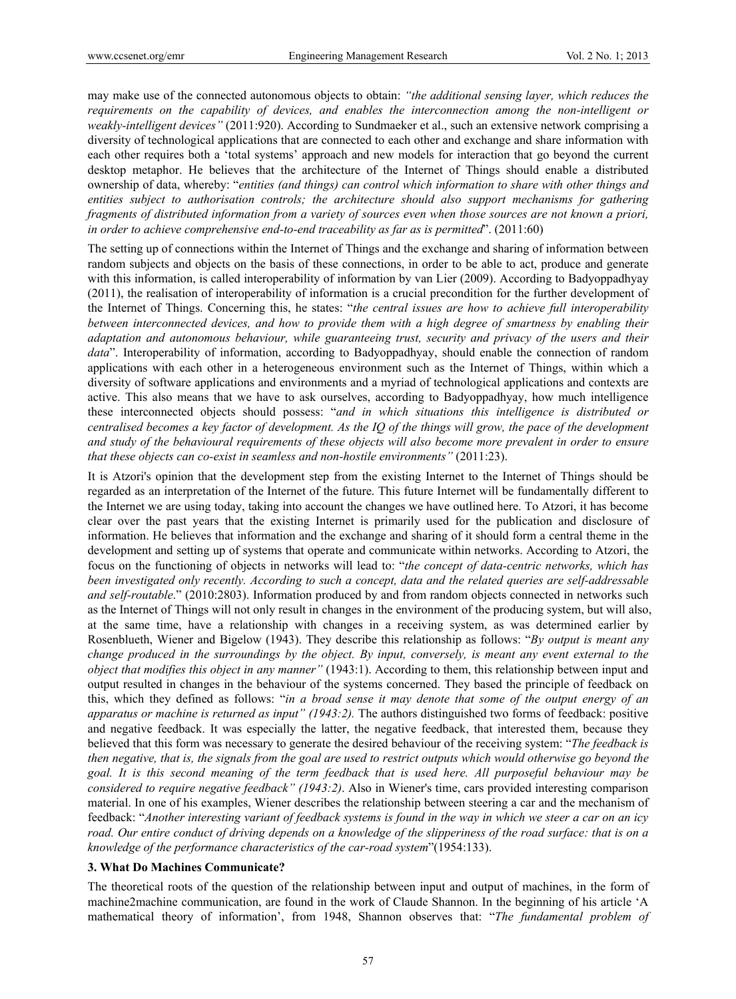may make use of the connected autonomous objects to obtain: *"the additional sensing layer, which reduces the requirements on the capability of devices, and enables the interconnection among the non-intelligent or weakly-intelligent devices"* (2011:920). According to Sundmaeker et al., such an extensive network comprising a diversity of technological applications that are connected to each other and exchange and share information with each other requires both a 'total systems' approach and new models for interaction that go beyond the current desktop metaphor. He believes that the architecture of the Internet of Things should enable a distributed ownership of data, whereby: "*entities (and things) can control which information to share with other things and entities subject to authorisation controls; the architecture should also support mechanisms for gathering fragments of distributed information from a variety of sources even when those sources are not known a priori, in order to achieve comprehensive end-to-end traceability as far as is permitted*". (2011:60)

The setting up of connections within the Internet of Things and the exchange and sharing of information between random subjects and objects on the basis of these connections, in order to be able to act, produce and generate with this information, is called interoperability of information by van Lier (2009). According to Badyoppadhyay (2011), the realisation of interoperability of information is a crucial precondition for the further development of the Internet of Things. Concerning this, he states: "*the central issues are how to achieve full interoperability between interconnected devices, and how to provide them with a high degree of smartness by enabling their adaptation and autonomous behaviour, while guaranteeing trust, security and privacy of the users and their data*". Interoperability of information, according to Badyoppadhyay, should enable the connection of random applications with each other in a heterogeneous environment such as the Internet of Things, within which a diversity of software applications and environments and a myriad of technological applications and contexts are active. This also means that we have to ask ourselves, according to Badyoppadhyay, how much intelligence these interconnected objects should possess: "*and in which situations this intelligence is distributed or centralised becomes a key factor of development. As the IQ of the things will grow, the pace of the development and study of the behavioural requirements of these objects will also become more prevalent in order to ensure that these objects can co-exist in seamless and non-hostile environments"* (2011:23).

It is Atzori's opinion that the development step from the existing Internet to the Internet of Things should be regarded as an interpretation of the Internet of the future. This future Internet will be fundamentally different to the Internet we are using today, taking into account the changes we have outlined here. To Atzori, it has become clear over the past years that the existing Internet is primarily used for the publication and disclosure of information. He believes that information and the exchange and sharing of it should form a central theme in the development and setting up of systems that operate and communicate within networks. According to Atzori, the focus on the functioning of objects in networks will lead to: "*the concept of data-centric networks, which has been investigated only recently. According to such a concept, data and the related queries are self-addressable and self-routable*." (2010:2803). Information produced by and from random objects connected in networks such as the Internet of Things will not only result in changes in the environment of the producing system, but will also, at the same time, have a relationship with changes in a receiving system, as was determined earlier by Rosenblueth, Wiener and Bigelow (1943). They describe this relationship as follows: "*By output is meant any change produced in the surroundings by the object. By input, conversely, is meant any event external to the object that modifies this object in any manner"* (1943:1). According to them, this relationship between input and output resulted in changes in the behaviour of the systems concerned. They based the principle of feedback on this, which they defined as follows: "*in a broad sense it may denote that some of the output energy of an apparatus or machine is returned as input" (1943:2).* The authors distinguished two forms of feedback: positive and negative feedback. It was especially the latter, the negative feedback, that interested them, because they believed that this form was necessary to generate the desired behaviour of the receiving system: "*The feedback is then negative, that is, the signals from the goal are used to restrict outputs which would otherwise go beyond the goal. It is this second meaning of the term feedback that is used here. All purposeful behaviour may be considered to require negative feedback" (1943:2)*. Also in Wiener's time, cars provided interesting comparison material. In one of his examples, Wiener describes the relationship between steering a car and the mechanism of feedback: "*Another interesting variant of feedback systems is found in the way in which we steer a car on an icy road. Our entire conduct of driving depends on a knowledge of the slipperiness of the road surface: that is on a knowledge of the performance characteristics of the car-road system*"(1954:133).

#### **3. What Do Machines Communicate?**

The theoretical roots of the question of the relationship between input and output of machines, in the form of machine2machine communication, are found in the work of Claude Shannon. In the beginning of his article 'A mathematical theory of information', from 1948, Shannon observes that: "*The fundamental problem of*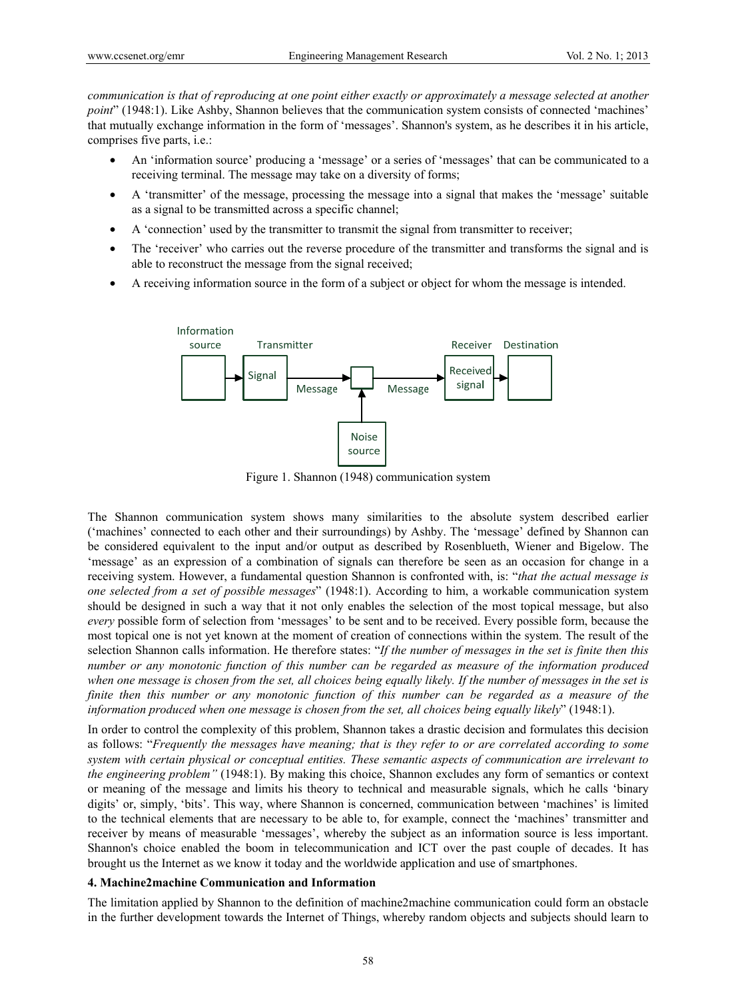*communication is that of reproducing at one point either exactly or approximately a message selected at another point*" (1948:1). Like Ashby, Shannon believes that the communication system consists of connected 'machines' that mutually exchange information in the form of 'messages'. Shannon's system, as he describes it in his article, comprises five parts, i.e.:

- An 'information source' producing a 'message' or a series of 'messages' that can be communicated to a receiving terminal. The message may take on a diversity of forms;
- A 'transmitter' of the message, processing the message into a signal that makes the 'message' suitable as a signal to be transmitted across a specific channel;
- A 'connection' used by the transmitter to transmit the signal from transmitter to receiver;
- The 'receiver' who carries out the reverse procedure of the transmitter and transforms the signal and is able to reconstruct the message from the signal received;
- A receiving information source in the form of a subject or object for whom the message is intended.



Figure 1. Shannon (1948) communication system

The Shannon communication system shows many similarities to the absolute system described earlier ('machines' connected to each other and their surroundings) by Ashby. The 'message' defined by Shannon can be considered equivalent to the input and/or output as described by Rosenblueth, Wiener and Bigelow. The 'message' as an expression of a combination of signals can therefore be seen as an occasion for change in a receiving system. However, a fundamental question Shannon is confronted with, is: "*that the actual message is one selected from a set of possible messages*" (1948:1). According to him, a workable communication system should be designed in such a way that it not only enables the selection of the most topical message, but also *every* possible form of selection from 'messages' to be sent and to be received. Every possible form, because the most topical one is not yet known at the moment of creation of connections within the system. The result of the selection Shannon calls information. He therefore states: "*If the number of messages in the set is finite then this number or any monotonic function of this number can be regarded as measure of the information produced when one message is chosen from the set, all choices being equally likely. If the number of messages in the set is finite then this number or any monotonic function of this number can be regarded as a measure of the information produced when one message is chosen from the set, all choices being equally likely*" (1948:1).

In order to control the complexity of this problem, Shannon takes a drastic decision and formulates this decision as follows: "*Frequently the messages have meaning; that is they refer to or are correlated according to some system with certain physical or conceptual entities. These semantic aspects of communication are irrelevant to the engineering problem"* (1948:1). By making this choice, Shannon excludes any form of semantics or context or meaning of the message and limits his theory to technical and measurable signals, which he calls 'binary digits' or, simply, 'bits'. This way, where Shannon is concerned, communication between 'machines' is limited to the technical elements that are necessary to be able to, for example, connect the 'machines' transmitter and receiver by means of measurable 'messages', whereby the subject as an information source is less important. Shannon's choice enabled the boom in telecommunication and ICT over the past couple of decades. It has brought us the Internet as we know it today and the worldwide application and use of smartphones.

## **4. Machine2machine Communication and Information**

The limitation applied by Shannon to the definition of machine2machine communication could form an obstacle in the further development towards the Internet of Things, whereby random objects and subjects should learn to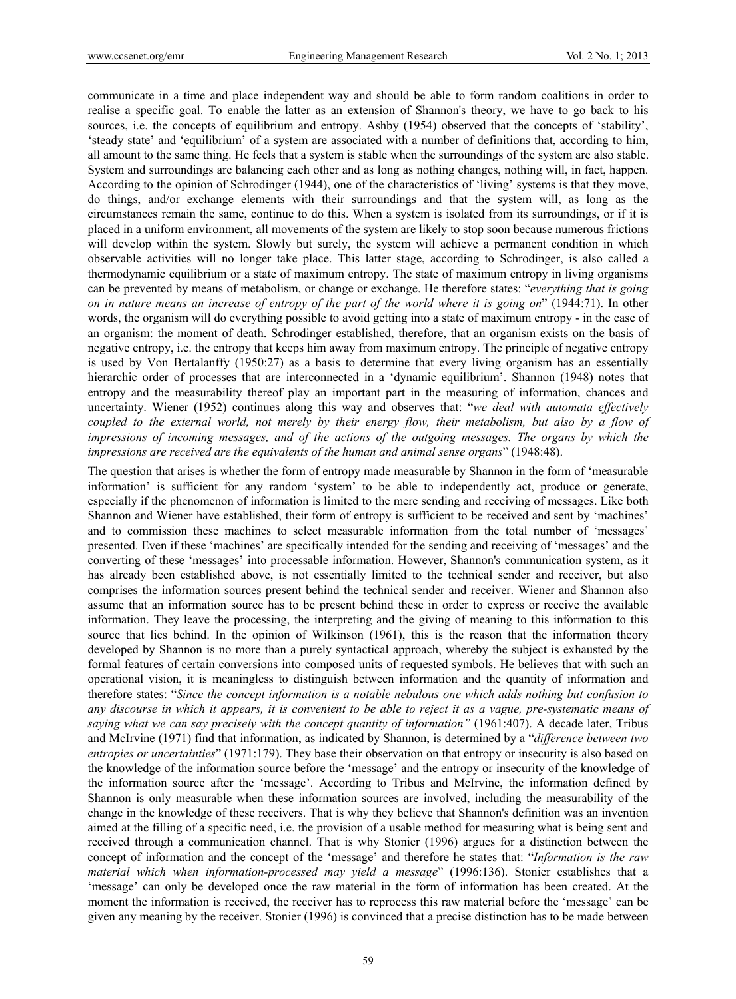communicate in a time and place independent way and should be able to form random coalitions in order to realise a specific goal. To enable the latter as an extension of Shannon's theory, we have to go back to his sources, i.e. the concepts of equilibrium and entropy. Ashby (1954) observed that the concepts of 'stability', 'steady state' and 'equilibrium' of a system are associated with a number of definitions that, according to him, all amount to the same thing. He feels that a system is stable when the surroundings of the system are also stable. System and surroundings are balancing each other and as long as nothing changes, nothing will, in fact, happen. According to the opinion of Schrodinger (1944), one of the characteristics of 'living' systems is that they move, do things, and/or exchange elements with their surroundings and that the system will, as long as the circumstances remain the same, continue to do this. When a system is isolated from its surroundings, or if it is placed in a uniform environment, all movements of the system are likely to stop soon because numerous frictions will develop within the system. Slowly but surely, the system will achieve a permanent condition in which observable activities will no longer take place. This latter stage, according to Schrodinger, is also called a thermodynamic equilibrium or a state of maximum entropy. The state of maximum entropy in living organisms can be prevented by means of metabolism, or change or exchange. He therefore states: "*everything that is going on in nature means an increase of entropy of the part of the world where it is going on*" (1944:71). In other words, the organism will do everything possible to avoid getting into a state of maximum entropy - in the case of an organism: the moment of death. Schrodinger established, therefore, that an organism exists on the basis of negative entropy, i.e. the entropy that keeps him away from maximum entropy. The principle of negative entropy is used by Von Bertalanffy (1950:27) as a basis to determine that every living organism has an essentially hierarchic order of processes that are interconnected in a 'dynamic equilibrium'. Shannon (1948) notes that entropy and the measurability thereof play an important part in the measuring of information, chances and uncertainty. Wiener (1952) continues along this way and observes that: "*we deal with automata effectively coupled to the external world, not merely by their energy flow, their metabolism, but also by a flow of impressions of incoming messages, and of the actions of the outgoing messages. The organs by which the impressions are received are the equivalents of the human and animal sense organs*" (1948:48).

The question that arises is whether the form of entropy made measurable by Shannon in the form of 'measurable information' is sufficient for any random 'system' to be able to independently act, produce or generate, especially if the phenomenon of information is limited to the mere sending and receiving of messages. Like both Shannon and Wiener have established, their form of entropy is sufficient to be received and sent by 'machines' and to commission these machines to select measurable information from the total number of 'messages' presented. Even if these 'machines' are specifically intended for the sending and receiving of 'messages' and the converting of these 'messages' into processable information. However, Shannon's communication system, as it has already been established above, is not essentially limited to the technical sender and receiver, but also comprises the information sources present behind the technical sender and receiver. Wiener and Shannon also assume that an information source has to be present behind these in order to express or receive the available information. They leave the processing, the interpreting and the giving of meaning to this information to this source that lies behind. In the opinion of Wilkinson (1961), this is the reason that the information theory developed by Shannon is no more than a purely syntactical approach, whereby the subject is exhausted by the formal features of certain conversions into composed units of requested symbols. He believes that with such an operational vision, it is meaningless to distinguish between information and the quantity of information and therefore states: "*Since the concept information is a notable nebulous one which adds nothing but confusion to any discourse in which it appears, it is convenient to be able to reject it as a vague, pre-systematic means of saying what we can say precisely with the concept quantity of information"* (1961:407). A decade later, Tribus and McIrvine (1971) find that information, as indicated by Shannon, is determined by a "*difference between two entropies or uncertainties*" (1971:179). They base their observation on that entropy or insecurity is also based on the knowledge of the information source before the 'message' and the entropy or insecurity of the knowledge of the information source after the 'message'. According to Tribus and McIrvine, the information defined by Shannon is only measurable when these information sources are involved, including the measurability of the change in the knowledge of these receivers. That is why they believe that Shannon's definition was an invention aimed at the filling of a specific need, i.e. the provision of a usable method for measuring what is being sent and received through a communication channel. That is why Stonier (1996) argues for a distinction between the concept of information and the concept of the 'message' and therefore he states that: "*Information is the raw material which when information-processed may yield a message*" (1996:136). Stonier establishes that a 'message' can only be developed once the raw material in the form of information has been created. At the moment the information is received, the receiver has to reprocess this raw material before the 'message' can be given any meaning by the receiver. Stonier (1996) is convinced that a precise distinction has to be made between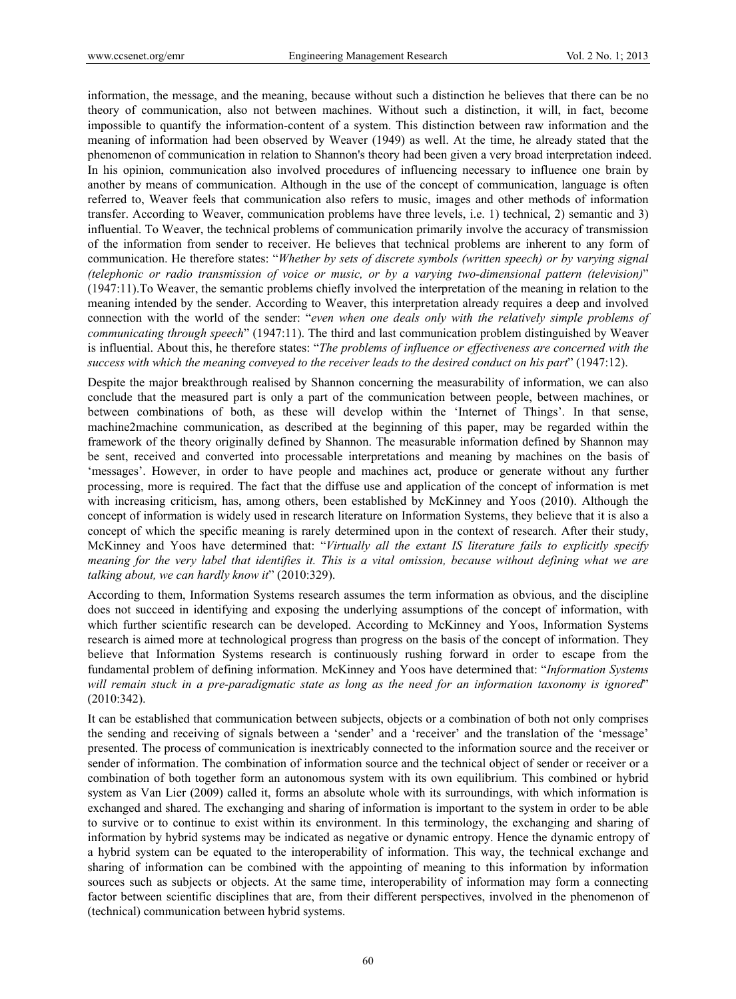information, the message, and the meaning, because without such a distinction he believes that there can be no theory of communication, also not between machines. Without such a distinction, it will, in fact, become impossible to quantify the information-content of a system. This distinction between raw information and the meaning of information had been observed by Weaver (1949) as well. At the time, he already stated that the phenomenon of communication in relation to Shannon's theory had been given a very broad interpretation indeed. In his opinion, communication also involved procedures of influencing necessary to influence one brain by another by means of communication. Although in the use of the concept of communication, language is often referred to, Weaver feels that communication also refers to music, images and other methods of information transfer. According to Weaver, communication problems have three levels, i.e. 1) technical, 2) semantic and 3) influential. To Weaver, the technical problems of communication primarily involve the accuracy of transmission of the information from sender to receiver. He believes that technical problems are inherent to any form of communication. He therefore states: "*Whether by sets of discrete symbols (written speech) or by varying signal (telephonic or radio transmission of voice or music, or by a varying two-dimensional pattern (television)*" (1947:11).To Weaver, the semantic problems chiefly involved the interpretation of the meaning in relation to the meaning intended by the sender. According to Weaver, this interpretation already requires a deep and involved connection with the world of the sender: "*even when one deals only with the relatively simple problems of communicating through speech*" (1947:11). The third and last communication problem distinguished by Weaver is influential. About this, he therefore states: "*The problems of influence or effectiveness are concerned with the success with which the meaning conveyed to the receiver leads to the desired conduct on his part*" (1947:12).

Despite the major breakthrough realised by Shannon concerning the measurability of information, we can also conclude that the measured part is only a part of the communication between people, between machines, or between combinations of both, as these will develop within the 'Internet of Things'. In that sense, machine2machine communication, as described at the beginning of this paper, may be regarded within the framework of the theory originally defined by Shannon. The measurable information defined by Shannon may be sent, received and converted into processable interpretations and meaning by machines on the basis of 'messages'. However, in order to have people and machines act, produce or generate without any further processing, more is required. The fact that the diffuse use and application of the concept of information is met with increasing criticism, has, among others, been established by McKinney and Yoos (2010). Although the concept of information is widely used in research literature on Information Systems, they believe that it is also a concept of which the specific meaning is rarely determined upon in the context of research. After their study, McKinney and Yoos have determined that: "*Virtually all the extant IS literature fails to explicitly specify meaning for the very label that identifies it. This is a vital omission, because without defining what we are talking about, we can hardly know it*" (2010:329).

According to them, Information Systems research assumes the term information as obvious, and the discipline does not succeed in identifying and exposing the underlying assumptions of the concept of information, with which further scientific research can be developed. According to McKinney and Yoos, Information Systems research is aimed more at technological progress than progress on the basis of the concept of information. They believe that Information Systems research is continuously rushing forward in order to escape from the fundamental problem of defining information. McKinney and Yoos have determined that: "*Information Systems will remain stuck in a pre-paradigmatic state as long as the need for an information taxonomy is ignored*" (2010:342).

It can be established that communication between subjects, objects or a combination of both not only comprises the sending and receiving of signals between a 'sender' and a 'receiver' and the translation of the 'message' presented. The process of communication is inextricably connected to the information source and the receiver or sender of information. The combination of information source and the technical object of sender or receiver or a combination of both together form an autonomous system with its own equilibrium. This combined or hybrid system as Van Lier (2009) called it, forms an absolute whole with its surroundings, with which information is exchanged and shared. The exchanging and sharing of information is important to the system in order to be able to survive or to continue to exist within its environment. In this terminology, the exchanging and sharing of information by hybrid systems may be indicated as negative or dynamic entropy. Hence the dynamic entropy of a hybrid system can be equated to the interoperability of information. This way, the technical exchange and sharing of information can be combined with the appointing of meaning to this information by information sources such as subjects or objects. At the same time, interoperability of information may form a connecting factor between scientific disciplines that are, from their different perspectives, involved in the phenomenon of (technical) communication between hybrid systems.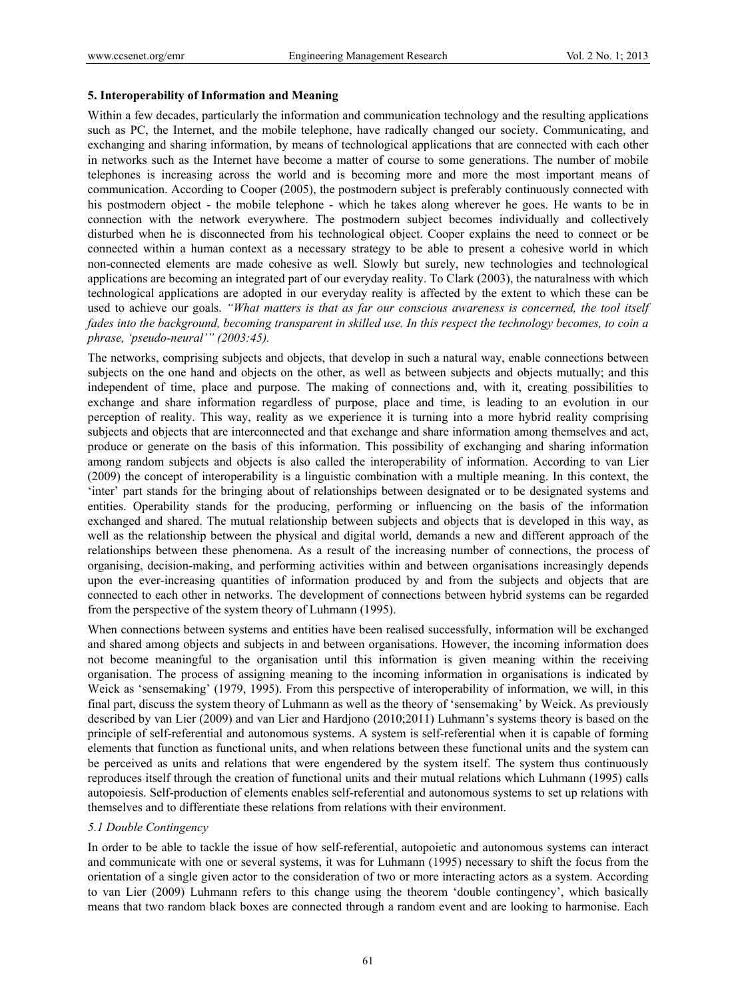#### **5. Interoperability of Information and Meaning**

Within a few decades, particularly the information and communication technology and the resulting applications such as PC, the Internet, and the mobile telephone, have radically changed our society. Communicating, and exchanging and sharing information, by means of technological applications that are connected with each other in networks such as the Internet have become a matter of course to some generations. The number of mobile telephones is increasing across the world and is becoming more and more the most important means of communication. According to Cooper (2005), the postmodern subject is preferably continuously connected with his postmodern object - the mobile telephone - which he takes along wherever he goes. He wants to be in connection with the network everywhere. The postmodern subject becomes individually and collectively disturbed when he is disconnected from his technological object. Cooper explains the need to connect or be connected within a human context as a necessary strategy to be able to present a cohesive world in which non-connected elements are made cohesive as well. Slowly but surely, new technologies and technological applications are becoming an integrated part of our everyday reality. To Clark (2003), the naturalness with which technological applications are adopted in our everyday reality is affected by the extent to which these can be used to achieve our goals. *"What matters is that as far our conscious awareness is concerned, the tool itself fades into the background, becoming transparent in skilled use. In this respect the technology becomes, to coin a phrase, 'pseudo-neural'" (2003:45).*

The networks, comprising subjects and objects, that develop in such a natural way, enable connections between subjects on the one hand and objects on the other, as well as between subjects and objects mutually; and this independent of time, place and purpose. The making of connections and, with it, creating possibilities to exchange and share information regardless of purpose, place and time, is leading to an evolution in our perception of reality. This way, reality as we experience it is turning into a more hybrid reality comprising subjects and objects that are interconnected and that exchange and share information among themselves and act, produce or generate on the basis of this information. This possibility of exchanging and sharing information among random subjects and objects is also called the interoperability of information. According to van Lier (2009) the concept of interoperability is a linguistic combination with a multiple meaning. In this context, the 'inter' part stands for the bringing about of relationships between designated or to be designated systems and entities. Operability stands for the producing, performing or influencing on the basis of the information exchanged and shared. The mutual relationship between subjects and objects that is developed in this way, as well as the relationship between the physical and digital world, demands a new and different approach of the relationships between these phenomena. As a result of the increasing number of connections, the process of organising, decision-making, and performing activities within and between organisations increasingly depends upon the ever-increasing quantities of information produced by and from the subjects and objects that are connected to each other in networks. The development of connections between hybrid systems can be regarded from the perspective of the system theory of Luhmann (1995).

When connections between systems and entities have been realised successfully, information will be exchanged and shared among objects and subjects in and between organisations. However, the incoming information does not become meaningful to the organisation until this information is given meaning within the receiving organisation. The process of assigning meaning to the incoming information in organisations is indicated by Weick as 'sensemaking' (1979, 1995). From this perspective of interoperability of information, we will, in this final part, discuss the system theory of Luhmann as well as the theory of 'sensemaking' by Weick. As previously described by van Lier (2009) and van Lier and Hardjono (2010;2011) Luhmann's systems theory is based on the principle of self-referential and autonomous systems. A system is self-referential when it is capable of forming elements that function as functional units, and when relations between these functional units and the system can be perceived as units and relations that were engendered by the system itself. The system thus continuously reproduces itself through the creation of functional units and their mutual relations which Luhmann (1995) calls autopoiesis. Self-production of elements enables self-referential and autonomous systems to set up relations with themselves and to differentiate these relations from relations with their environment.

#### *5.1 Double Contingency*

In order to be able to tackle the issue of how self-referential, autopoietic and autonomous systems can interact and communicate with one or several systems, it was for Luhmann (1995) necessary to shift the focus from the orientation of a single given actor to the consideration of two or more interacting actors as a system. According to van Lier (2009) Luhmann refers to this change using the theorem 'double contingency', which basically means that two random black boxes are connected through a random event and are looking to harmonise. Each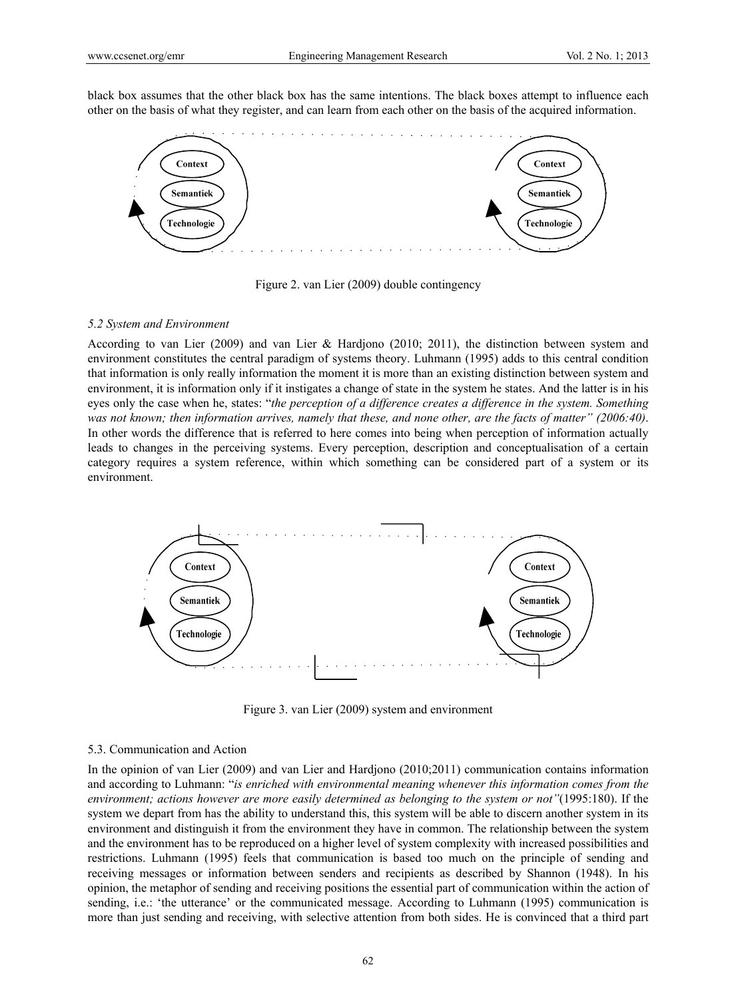black box assumes that the other black box has the same intentions. The black boxes attempt to influence each other on the basis of what they register, and can learn from each other on the basis of the acquired information.



Figure 2. van Lier (2009) double contingency

#### *5.2 System and Environment*

According to van Lier (2009) and van Lier & Hardjono (2010; 2011), the distinction between system and environment constitutes the central paradigm of systems theory. Luhmann (1995) adds to this central condition that information is only really information the moment it is more than an existing distinction between system and environment, it is information only if it instigates a change of state in the system he states. And the latter is in his eyes only the case when he, states: "*the perception of a difference creates a difference in the system. Something was not known; then information arrives, namely that these, and none other, are the facts of matter" (2006:40)*. In other words the difference that is referred to here comes into being when perception of information actually leads to changes in the perceiving systems. Every perception, description and conceptualisation of a certain category requires a system reference, within which something can be considered part of a system or its environment.



Figure 3. van Lier (2009) system and environment

#### 5.3. Communication and Action

In the opinion of van Lier (2009) and van Lier and Hardjono (2010;2011) communication contains information and according to Luhmann: "*is enriched with environmental meaning whenever this information comes from the environment; actions however are more easily determined as belonging to the system or not"*(1995:180). If the system we depart from has the ability to understand this, this system will be able to discern another system in its environment and distinguish it from the environment they have in common. The relationship between the system and the environment has to be reproduced on a higher level of system complexity with increased possibilities and restrictions. Luhmann (1995) feels that communication is based too much on the principle of sending and receiving messages or information between senders and recipients as described by Shannon (1948). In his opinion, the metaphor of sending and receiving positions the essential part of communication within the action of sending, i.e.: 'the utterance' or the communicated message. According to Luhmann (1995) communication is more than just sending and receiving, with selective attention from both sides. He is convinced that a third part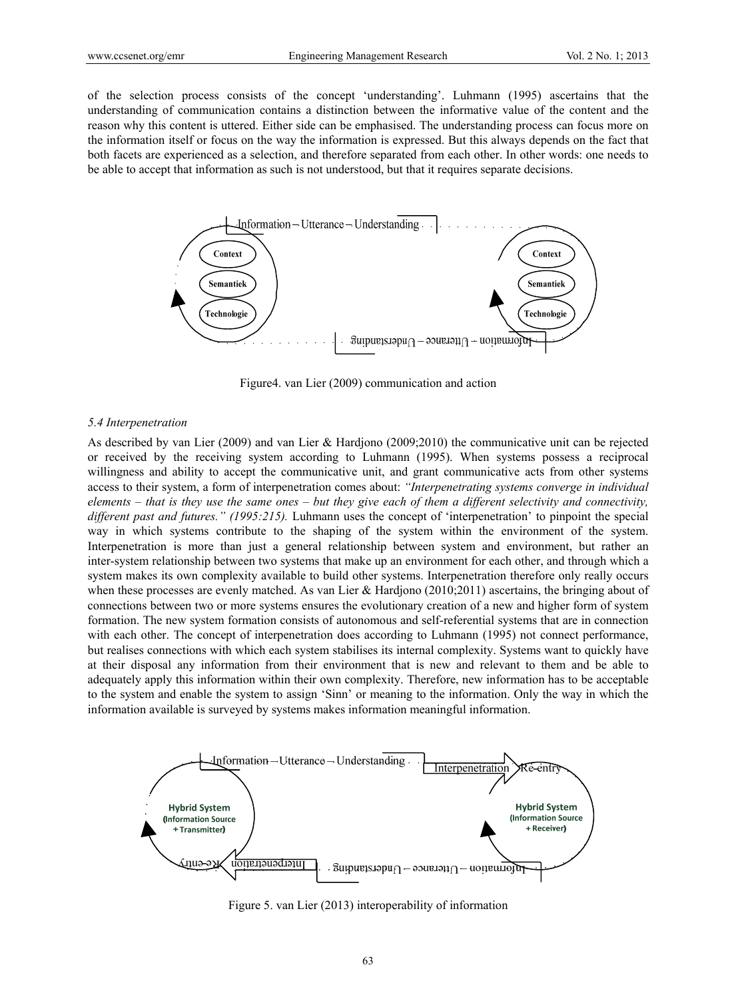of the selection process consists of the concept 'understanding'. Luhmann (1995) ascertains that the understanding of communication contains a distinction between the informative value of the content and the reason why this content is uttered. Either side can be emphasised. The understanding process can focus more on the information itself or focus on the way the information is expressed. But this always depends on the fact that both facets are experienced as a selection, and therefore separated from each other. In other words: one needs to be able to accept that information as such is not understood, but that it requires separate decisions.



Figure4. van Lier (2009) communication and action

## *5.4 Interpenetration*

As described by van Lier (2009) and van Lier & Hardjono (2009;2010) the communicative unit can be rejected or received by the receiving system according to Luhmann (1995). When systems possess a reciprocal willingness and ability to accept the communicative unit, and grant communicative acts from other systems access to their system, a form of interpenetration comes about: *"Interpenetrating systems converge in individual elements – that is they use the same ones – but they give each of them a different selectivity and connectivity, different past and futures." (1995:215).* Luhmann uses the concept of 'interpenetration' to pinpoint the special way in which systems contribute to the shaping of the system within the environment of the system. Interpenetration is more than just a general relationship between system and environment, but rather an inter-system relationship between two systems that make up an environment for each other, and through which a system makes its own complexity available to build other systems. Interpenetration therefore only really occurs when these processes are evenly matched. As van Lier & Hardjono (2010;2011) ascertains, the bringing about of connections between two or more systems ensures the evolutionary creation of a new and higher form of system formation. The new system formation consists of autonomous and self-referential systems that are in connection with each other. The concept of interpenetration does according to Luhmann (1995) not connect performance, but realises connections with which each system stabilises its internal complexity. Systems want to quickly have at their disposal any information from their environment that is new and relevant to them and be able to adequately apply this information within their own complexity. Therefore, new information has to be acceptable to the system and enable the system to assign 'Sinn' or meaning to the information. Only the way in which the information available is surveyed by systems makes information meaningful information.



Figure 5. van Lier (2013) interoperability of information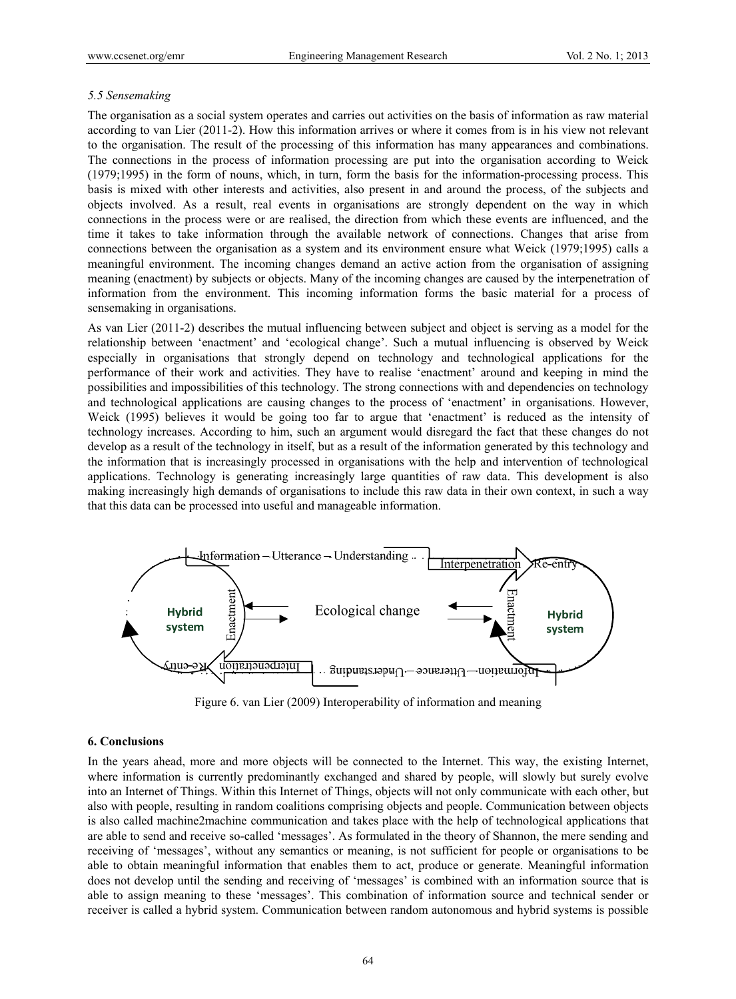## *5.5 Sensemaking*

The organisation as a social system operates and carries out activities on the basis of information as raw material according to van Lier (2011-2). How this information arrives or where it comes from is in his view not relevant to the organisation. The result of the processing of this information has many appearances and combinations. The connections in the process of information processing are put into the organisation according to Weick (1979;1995) in the form of nouns, which, in turn, form the basis for the information-processing process. This basis is mixed with other interests and activities, also present in and around the process, of the subjects and objects involved. As a result, real events in organisations are strongly dependent on the way in which connections in the process were or are realised, the direction from which these events are influenced, and the time it takes to take information through the available network of connections. Changes that arise from connections between the organisation as a system and its environment ensure what Weick (1979;1995) calls a meaningful environment. The incoming changes demand an active action from the organisation of assigning meaning (enactment) by subjects or objects. Many of the incoming changes are caused by the interpenetration of information from the environment. This incoming information forms the basic material for a process of sensemaking in organisations.

As van Lier (2011-2) describes the mutual influencing between subject and object is serving as a model for the relationship between 'enactment' and 'ecological change'. Such a mutual influencing is observed by Weick especially in organisations that strongly depend on technology and technological applications for the performance of their work and activities. They have to realise 'enactment' around and keeping in mind the possibilities and impossibilities of this technology. The strong connections with and dependencies on technology and technological applications are causing changes to the process of 'enactment' in organisations. However, Weick (1995) believes it would be going too far to argue that 'enactment' is reduced as the intensity of technology increases. According to him, such an argument would disregard the fact that these changes do not develop as a result of the technology in itself, but as a result of the information generated by this technology and the information that is increasingly processed in organisations with the help and intervention of technological applications. Technology is generating increasingly large quantities of raw data. This development is also making increasingly high demands of organisations to include this raw data in their own context, in such a way that this data can be processed into useful and manageable information.



Figure 6. van Lier (2009) Interoperability of information and meaning

### **6. Conclusions**

In the years ahead, more and more objects will be connected to the Internet. This way, the existing Internet, where information is currently predominantly exchanged and shared by people, will slowly but surely evolve into an Internet of Things. Within this Internet of Things, objects will not only communicate with each other, but also with people, resulting in random coalitions comprising objects and people. Communication between objects is also called machine2machine communication and takes place with the help of technological applications that are able to send and receive so-called 'messages'. As formulated in the theory of Shannon, the mere sending and receiving of 'messages', without any semantics or meaning, is not sufficient for people or organisations to be able to obtain meaningful information that enables them to act, produce or generate. Meaningful information does not develop until the sending and receiving of 'messages' is combined with an information source that is able to assign meaning to these 'messages'. This combination of information source and technical sender or receiver is called a hybrid system. Communication between random autonomous and hybrid systems is possible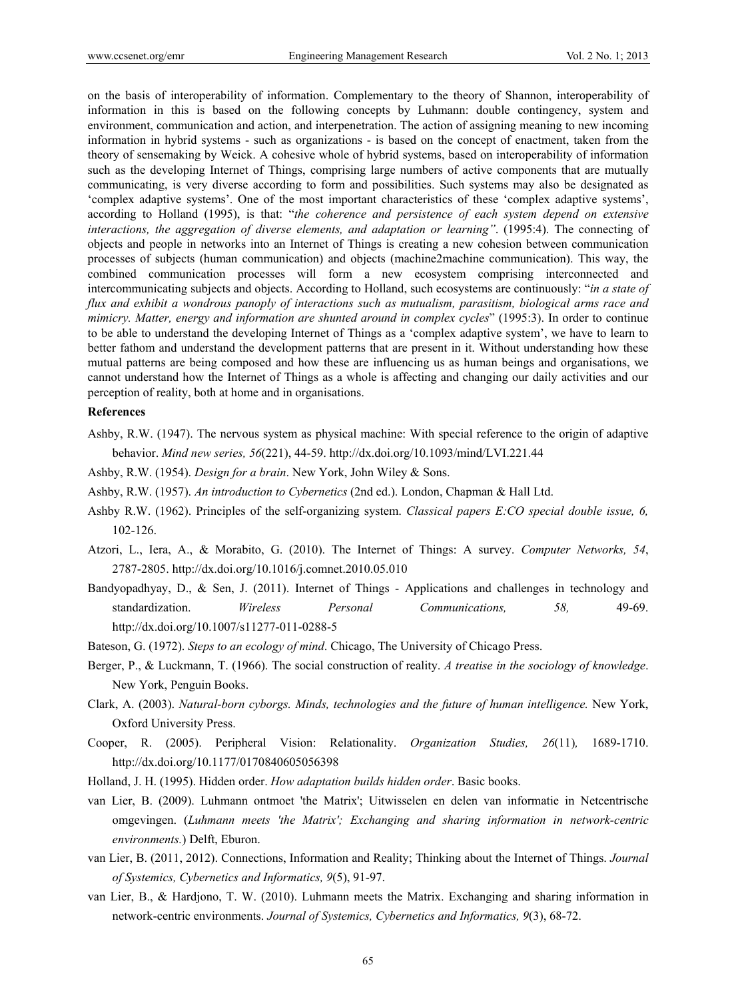on the basis of interoperability of information. Complementary to the theory of Shannon, interoperability of information in this is based on the following concepts by Luhmann: double contingency, system and environment, communication and action, and interpenetration. The action of assigning meaning to new incoming information in hybrid systems - such as organizations - is based on the concept of enactment, taken from the theory of sensemaking by Weick. A cohesive whole of hybrid systems, based on interoperability of information such as the developing Internet of Things, comprising large numbers of active components that are mutually communicating, is very diverse according to form and possibilities. Such systems may also be designated as 'complex adaptive systems'. One of the most important characteristics of these 'complex adaptive systems', according to Holland (1995), is that: "*the coherence and persistence of each system depend on extensive interactions, the aggregation of diverse elements, and adaptation or learning"*. (1995:4). The connecting of objects and people in networks into an Internet of Things is creating a new cohesion between communication processes of subjects (human communication) and objects (machine2machine communication). This way, the combined communication processes will form a new ecosystem comprising interconnected and intercommunicating subjects and objects. According to Holland, such ecosystems are continuously: "*in a state of flux and exhibit a wondrous panoply of interactions such as mutualism, parasitism, biological arms race and mimicry. Matter, energy and information are shunted around in complex cycles*" (1995:3). In order to continue to be able to understand the developing Internet of Things as a 'complex adaptive system', we have to learn to better fathom and understand the development patterns that are present in it. Without understanding how these mutual patterns are being composed and how these are influencing us as human beings and organisations, we cannot understand how the Internet of Things as a whole is affecting and changing our daily activities and our perception of reality, both at home and in organisations.

#### **References**

- Ashby, R.W. (1947). The nervous system as physical machine: With special reference to the origin of adaptive behavior. *Mind new series, 56*(221), 44-59. http://dx.doi.org/10.1093/mind/LVI.221.44
- Ashby, R.W. (1954). *Design for a brain*. New York, John Wiley & Sons.
- Ashby, R.W. (1957). *An introduction to Cybernetics* (2nd ed.). London, Chapman & Hall Ltd.
- Ashby R.W. (1962). Principles of the self-organizing system. *Classical papers E:CO special double issue, 6,*  102-126.
- Atzori, L., Iera, A., & Morabito, G. (2010). The Internet of Things: A survey. *Computer Networks, 54*, 2787-2805. http://dx.doi.org/10.1016/j.comnet.2010.05.010
- Bandyopadhyay, D., & Sen, J. (2011). Internet of Things Applications and challenges in technology and standardization. *Wireless Personal Communications, 58,* 49-69. http://dx.doi.org/10.1007/s11277-011-0288-5
- Bateson, G. (1972). *Steps to an ecology of mind*. Chicago, The University of Chicago Press.
- Berger, P., & Luckmann, T. (1966). The social construction of reality. *A treatise in the sociology of knowledge*. New York, Penguin Books.
- Clark, A. (2003). *Natural-born cyborgs. Minds, technologies and the future of human intelligence.* New York, Oxford University Press.
- Cooper, R. (2005). Peripheral Vision: Relationality. *Organization Studies, 26*(11)*,* 1689-1710. http://dx.doi.org/10.1177/0170840605056398
- Holland, J. H. (1995). Hidden order. *How adaptation builds hidden order*. Basic books.
- van Lier, B. (2009). Luhmann ontmoet 'the Matrix'; Uitwisselen en delen van informatie in Netcentrische omgevingen. (*Luhmann meets 'the Matrix'; Exchanging and sharing information in network-centric environments.*) Delft, Eburon.
- van Lier, B. (2011, 2012). Connections, Information and Reality; Thinking about the Internet of Things. *Journal of Systemics, Cybernetics and Informatics, 9*(5), 91-97.
- van Lier, B., & Hardjono, T. W. (2010). Luhmann meets the Matrix. Exchanging and sharing information in network-centric environments. *Journal of Systemics, Cybernetics and Informatics, 9*(3), 68-72.